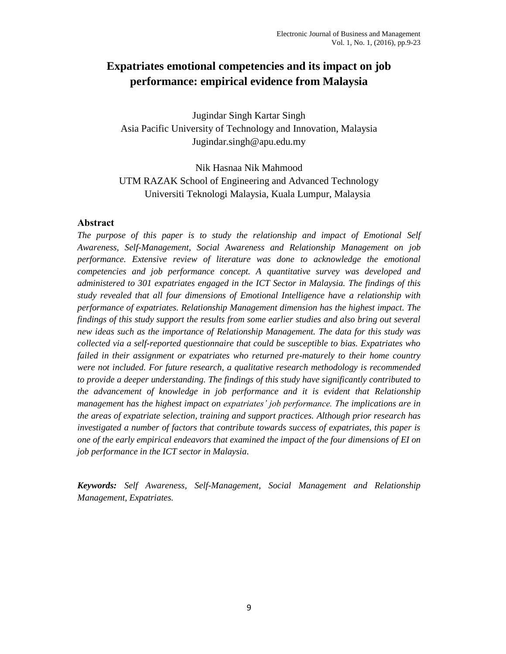# **Expatriates emotional competencies and its impact on job performance: empirical evidence from Malaysia**

Jugindar Singh Kartar Singh Asia Pacific University of Technology and Innovation, Malaysia Jugindar.singh@apu.edu.my

Nik Hasnaa Nik Mahmood UTM RAZAK School of Engineering and Advanced Technology Universiti Teknologi Malaysia, Kuala Lumpur, Malaysia

## **Abstract**

*The purpose of this paper is to study the relationship and impact of Emotional Self Awareness, Self-Management, Social Awareness and Relationship Management on job performance. Extensive review of literature was done to acknowledge the emotional competencies and job performance concept. A quantitative survey was developed and administered to 301 expatriates engaged in the ICT Sector in Malaysia. The findings of this study revealed that all four dimensions of Emotional Intelligence have a relationship with performance of expatriates. Relationship Management dimension has the highest impact. The findings of this study support the results from some earlier studies and also bring out several new ideas such as the importance of Relationship Management. The data for this study was collected via a self-reported questionnaire that could be susceptible to bias. Expatriates who failed in their assignment or expatriates who returned pre-maturely to their home country were not included. For future research, a qualitative research methodology is recommended to provide a deeper understanding. The findings of this study have significantly contributed to the advancement of knowledge in job performance and it is evident that Relationship management has the highest impact on expatriates' job performance. The implications are in the areas of expatriate selection, training and support practices. Although prior research has investigated a number of factors that contribute towards success of expatriates, this paper is one of the early empirical endeavors that examined the impact of the four dimensions of EI on job performance in the ICT sector in Malaysia.*

*Keywords: Self Awareness, Self-Management, Social Management and Relationship Management, Expatriates.*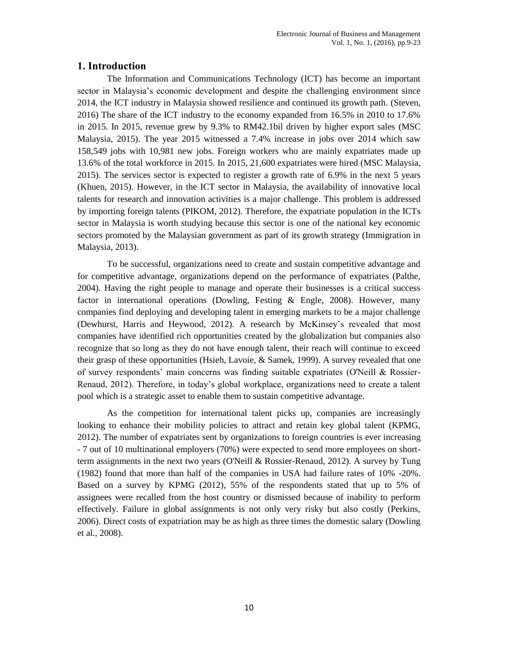## **1. Introduction**

The Information and Communications Technology (ICT) has become an important sector in Malaysia's economic development and despite the challenging environment since 2014, the ICT industry in Malaysia showed resilience and continued its growth path. (Steven, 2016) The share of the ICT industry to the economy expanded from 16.5% in 2010 to 17.6% in 2015. In 2015, revenue grew by 9.3% to RM42.1bil driven by higher export sales (MSC Malaysia, 2015). The year 2015 witnessed a 7.4% increase in jobs over 2014 which saw 158,549 jobs with 10,981 new jobs. Foreign workers who are mainly expatriates made up 13.6% of the total workforce in 2015. In 2015, 21,600 expatriates were hired (MSC Malaysia, 2015). The services sector is expected to register a growth rate of 6.9% in the next 5 years (Khuen, 2015). However, in the ICT sector in Malaysia, the availability of innovative local talents for research and innovation activities is a major challenge. This problem is addressed by importing foreign talents (PIKOM, 2012). Therefore, the expatriate population in the ICTs sector in Malaysia is worth studying because this sector is one of the national key economic sectors promoted by the Malaysian government as part of its growth strategy (Immigration in Malaysia, 2013).

To be successful, organizations need to create and sustain competitive advantage and for competitive advantage, organizations depend on the performance of expatriates (Palthe, 2004). Having the right people to manage and operate their businesses is a critical success factor in international operations (Dowling, Festing & Engle, 2008). However, many companies find deploying and developing talent in emerging markets to be a major challenge (Dewhurst, Harris and Heywood, 2012). A research by McKinsey"s revealed that most companies have identified rich opportunities created by the globalization but companies also recognize that so long as they do not have enough talent, their reach will continue to exceed their grasp of these opportunities (Hsieh, Lavoie, & Samek, 1999). A survey revealed that one of survey respondents" main concerns was finding suitable expatriates (O'Neill & Rossier-Renaud, 2012). Therefore, in today"s global workplace, organizations need to create a talent pool which is a strategic asset to enable them to sustain competitive advantage.

As the competition for international talent picks up, companies are increasingly looking to enhance their mobility policies to attract and retain key global talent (KPMG, 2012). The number of expatriates sent by organizations to foreign countries is ever increasing - 7 out of 10 multinational employers (70%) were expected to send more employees on shortterm assignments in the next two years (O'Neill & Rossier-Renaud, 2012). A survey by Tung (1982) found that more than half of the companies in USA had failure rates of 10% -20%. Based on a survey by KPMG (2012), 55% of the respondents stated that up to 5% of assignees were recalled from the host country or dismissed because of inability to perform effectively. Failure in global assignments is not only very risky but also costly (Perkins, 2006). Direct costs of expatriation may be as high as three times the domestic salary (Dowling et al., 2008).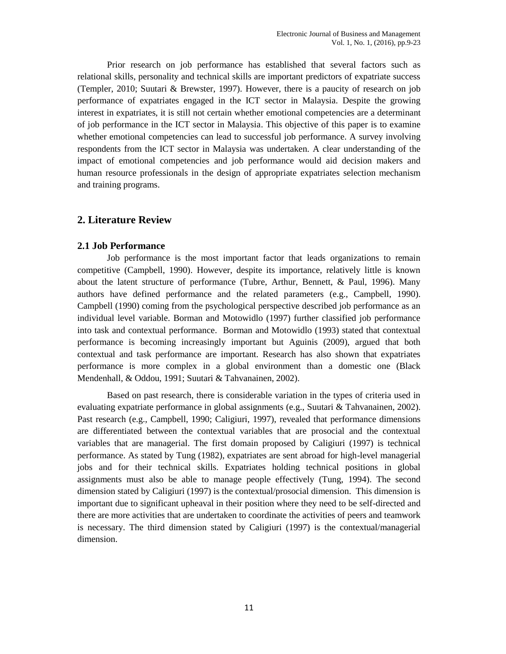Prior research on job performance has established that several factors such as relational skills, personality and technical skills are important predictors of expatriate success (Templer, 2010; Suutari & Brewster, 1997). However, there is a paucity of research on job performance of expatriates engaged in the ICT sector in Malaysia. Despite the growing interest in expatriates, it is still not certain whether emotional competencies are a determinant of job performance in the ICT sector in Malaysia. This objective of this paper is to examine whether emotional competencies can lead to successful job performance. A survey involving respondents from the ICT sector in Malaysia was undertaken. A clear understanding of the impact of emotional competencies and job performance would aid decision makers and human resource professionals in the design of appropriate expatriates selection mechanism and training programs.

## **2. Literature Review**

#### **2.1 Job Performance**

Job performance is the most important factor that leads organizations to remain competitive (Campbell, 1990). However, despite its importance, relatively little is known about the latent structure of performance (Tubre, Arthur, Bennett, & Paul, 1996). Many authors have defined performance and the related parameters (e.g., Campbell, 1990). Campbell (1990) coming from the psychological perspective described job performance as an individual level variable. Borman and Motowidlo (1997) further classified job performance into task and contextual performance. Borman and Motowidlo (1993) stated that contextual performance is becoming increasingly important but Aguinis (2009), argued that both contextual and task performance are important. Research has also shown that expatriates performance is more complex in a global environment than a domestic one (Black Mendenhall, & Oddou, 1991; Suutari & Tahvanainen, 2002).

Based on past research, there is considerable variation in the types of criteria used in evaluating expatriate performance in global assignments (e.g., Suutari & Tahvanainen, 2002). Past research (e.g., Campbell, 1990; Caligiuri, 1997), revealed that performance dimensions are differentiated between the contextual variables that are prosocial and the contextual variables that are managerial. The first domain proposed by Caligiuri (1997) is technical performance. As stated by Tung (1982), expatriates are sent abroad for high-level managerial jobs and for their technical skills. Expatriates holding technical positions in global assignments must also be able to manage people effectively (Tung, 1994). The second dimension stated by Caligiuri (1997) is the contextual/prosocial dimension. This dimension is important due to significant upheaval in their position where they need to be self-directed and there are more activities that are undertaken to coordinate the activities of peers and teamwork is necessary. The third dimension stated by Caligiuri (1997) is the contextual/managerial dimension.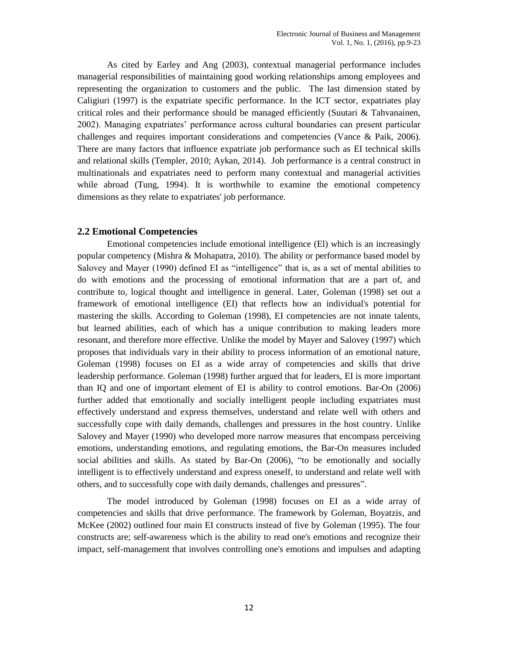As cited by Earley and Ang (2003), contextual managerial performance includes managerial responsibilities of maintaining good working relationships among employees and representing the organization to customers and the public. The last dimension stated by Caligiuri (1997) is the expatriate specific performance. In the ICT sector, expatriates play critical roles and their performance should be managed efficiently (Suutari & Tahvanainen, 2002). Managing expatriates" performance across cultural boundaries can present particular challenges and requires important considerations and competencies (Vance & Paik, 2006). There are many factors that influence expatriate job performance such as EI technical skills and relational skills (Templer, 2010; Aykan, 2014). Job performance is a central construct in multinationals and expatriates need to perform many contextual and managerial activities while abroad (Tung, 1994). It is worthwhile to examine the emotional competency dimensions as they relate to expatriates' job performance.

## **2.2 Emotional Competencies**

Emotional competencies include emotional intelligence (El) which is an increasingly popular competency (Mishra & Mohapatra, 2010). The ability or performance based model by Salovey and Mayer (1990) defined EI as "intelligence" that is, as a set of mental abilities to do with emotions and the processing of emotional information that are a part of, and contribute to, logical thought and intelligence in general. Later, Goleman (1998) set out a framework of emotional intelligence (EI) that reflects how an individual's potential for mastering the skills. According to Goleman (1998), EI competencies are not innate talents, but learned abilities, each of which has a unique contribution to making leaders more resonant, and therefore more effective. Unlike the model by Mayer and Salovey (1997) which proposes that individuals vary in their ability to process information of an emotional nature, Goleman (1998) focuses on EI as a wide array of competencies and skills that drive leadership performance. Goleman (1998) further argued that for leaders, EI is more important than IQ and one of important element of EI is ability to control emotions. Bar-On (2006) further added that emotionally and socially intelligent people including expatriates must effectively understand and express themselves, understand and relate well with others and successfully cope with daily demands, challenges and pressures in the host country. Unlike Salovey and Mayer (1990) who developed more narrow measures that encompass perceiving emotions, understanding emotions, and regulating emotions, the Bar-On measures included social abilities and skills. As stated by Bar-On (2006), "to be emotionally and socially intelligent is to effectively understand and express oneself, to understand and relate well with others, and to successfully cope with daily demands, challenges and pressures".

The model introduced by Goleman (1998) focuses on EI as a wide array of competencies and skills that drive performance. The framework by Goleman, Boyatzis, and McKee (2002) outlined four main EI constructs instead of five by Goleman (1995). The four constructs are; self-awareness which is the ability to read one's emotions and recognize their impact, self-management that involves controlling one's emotions and impulses and adapting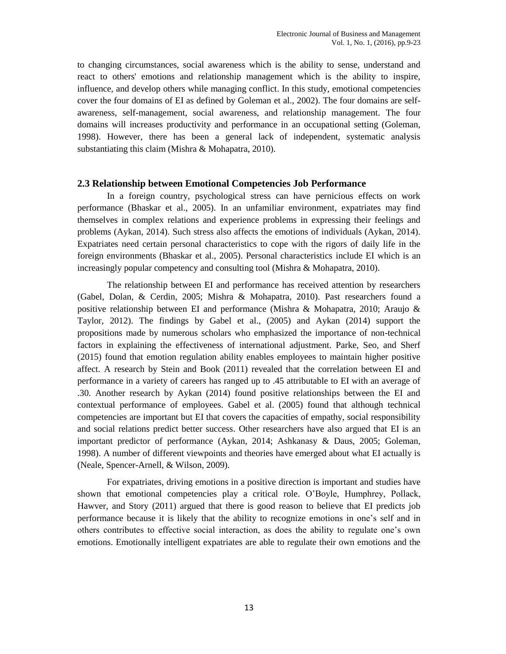to changing circumstances, social awareness which is the ability to sense, understand and react to others' emotions and relationship management which is the ability to inspire, influence, and develop others while managing conflict. In this study, emotional competencies cover the four domains of EI as defined by Goleman et al., 2002). The four domains are selfawareness, self-management, social awareness, and relationship management. The four domains will increases productivity and performance in an occupational setting (Goleman, 1998). However, there has been a general lack of independent, systematic analysis substantiating this claim (Mishra & Mohapatra, 2010).

### **2.3 Relationship between Emotional Competencies Job Performance**

In a foreign country, psychological stress can have pernicious effects on work performance (Bhaskar et al., 2005). In an unfamiliar environment, expatriates may find themselves in complex relations and experience problems in expressing their feelings and problems (Aykan, 2014). Such stress also affects the emotions of individuals (Aykan, 2014). Expatriates need certain personal characteristics to cope with the rigors of daily life in the foreign environments (Bhaskar et al., 2005). Personal characteristics include EI which is an increasingly popular competency and consulting tool (Mishra & Mohapatra, 2010).

The relationship between EI and performance has received attention by researchers (Gabel, Dolan, & Cerdin, 2005; Mishra & Mohapatra, 2010). Past researchers found a positive relationship between EI and performance (Mishra & Mohapatra, 2010; Araujo & Taylor, 2012). The findings by Gabel et al., (2005) and Aykan (2014) support the propositions made by numerous scholars who emphasized the importance of non-technical factors in explaining the effectiveness of international adjustment. Parke, Seo, and Sherf (2015) found that emotion regulation ability enables employees to maintain higher positive affect. A research by Stein and Book (2011) revealed that the correlation between EI and performance in a variety of careers has ranged up to .45 attributable to EI with an average of .30. Another research by Aykan (2014) found positive relationships between the EI and contextual performance of employees. Gabel et al. (2005) found that although technical competencies are important but EI that covers the capacities of empathy, social responsibility and social relations predict better success. Other researchers have also argued that EI is an important predictor of performance (Aykan, 2014; Ashkanasy & Daus, 2005; Goleman, 1998). A number of different viewpoints and theories have emerged about what EI actually is (Neale, Spencer-Arnell, & Wilson, 2009).

For expatriates, driving emotions in a positive direction is important and studies have shown that emotional competencies play a critical role. O"Boyle, Humphrey, Pollack, Hawver, and Story (2011) argued that there is good reason to believe that EI predicts job performance because it is likely that the ability to recognize emotions in one"s self and in others contributes to effective social interaction, as does the ability to regulate one"s own emotions. Emotionally intelligent expatriates are able to regulate their own emotions and the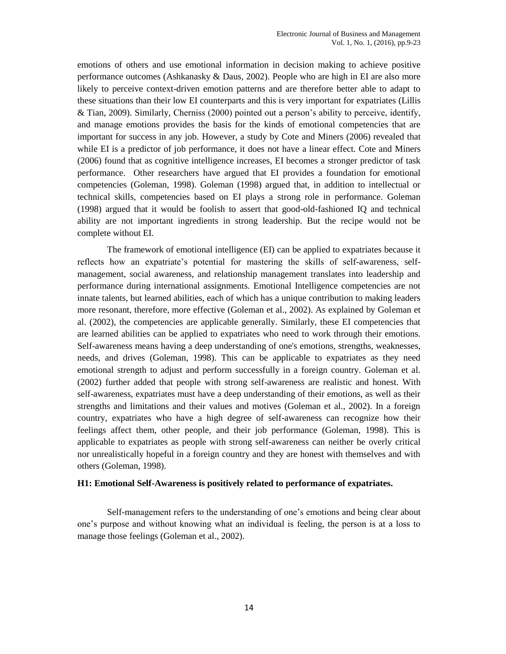emotions of others and use emotional information in decision making to achieve positive performance outcomes (Ashkanasky & Daus, 2002). People who are high in EI are also more likely to perceive context-driven emotion patterns and are therefore better able to adapt to these situations than their low EI counterparts and this is very important for expatriates (Lillis & Tian, 2009). Similarly, Cherniss (2000) pointed out a person"s ability to perceive, identify, and manage emotions provides the basis for the kinds of emotional competencies that are important for success in any job. However, a study by Cote and Miners (2006) revealed that while EI is a predictor of job performance, it does not have a linear effect. Cote and Miners (2006) found that as cognitive intelligence increases, EI becomes a stronger predictor of task performance. Other researchers have argued that EI provides a foundation for emotional competencies (Goleman, 1998). Goleman (1998) argued that, in addition to intellectual or technical skills, competencies based on EI plays a strong role in performance. Goleman (1998) argued that it would be foolish to assert that good-old-fashioned IQ and technical ability are not important ingredients in strong leadership. But the recipe would not be complete without EI.

The framework of emotional intelligence (EI) can be applied to expatriates because it reflects how an expatriate"s potential for mastering the skills of self-awareness, selfmanagement, social awareness, and relationship management translates into leadership and performance during international assignments. Emotional Intelligence competencies are not innate talents, but learned abilities, each of which has a unique contribution to making leaders more resonant, therefore, more effective (Goleman et al., 2002). As explained by Goleman et al. (2002), the competencies are applicable generally. Similarly, these EI competencies that are learned abilities can be applied to expatriates who need to work through their emotions. Self-awareness means having a deep understanding of one's emotions, strengths, weaknesses, needs, and drives (Goleman, 1998). This can be applicable to expatriates as they need emotional strength to adjust and perform successfully in a foreign country. Goleman et al. (2002) further added that people with strong self-awareness are realistic and honest. With self-awareness, expatriates must have a deep understanding of their emotions, as well as their strengths and limitations and their values and motives (Goleman et al., 2002). In a foreign country, expatriates who have a high degree of self-awareness can recognize how their feelings affect them, other people, and their job performance (Goleman, 1998). This is applicable to expatriates as people with strong self-awareness can neither be overly critical nor unrealistically hopeful in a foreign country and they are honest with themselves and with others (Goleman, 1998).

#### **H1: Emotional Self-Awareness is positively related to performance of expatriates.**

Self-management refers to the understanding of one"s emotions and being clear about one"s purpose and without knowing what an individual is feeling, the person is at a loss to manage those feelings (Goleman et al., 2002).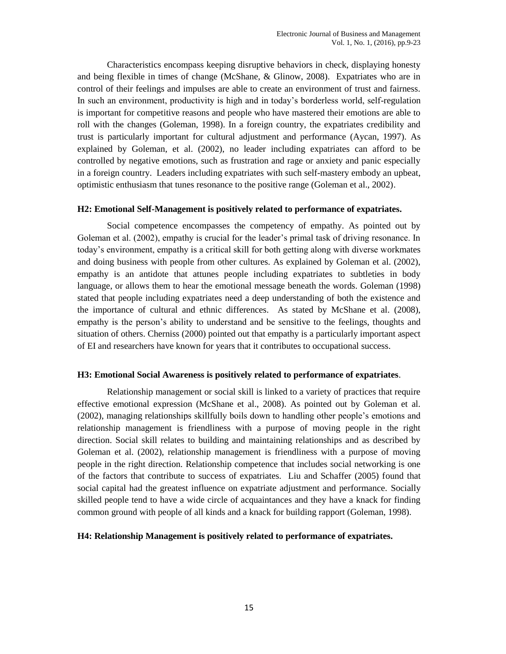Characteristics encompass keeping disruptive behaviors in check, displaying honesty and being flexible in times of change (McShane, & Glinow, 2008). Expatriates who are in control of their feelings and impulses are able to create an environment of trust and fairness. In such an environment, productivity is high and in today"s borderless world, self-regulation is important for competitive reasons and people who have mastered their emotions are able to roll with the changes (Goleman, 1998). In a foreign country, the expatriates credibility and trust is particularly important for cultural adjustment and performance (Aycan, 1997). As explained by Goleman, et al. (2002), no leader including expatriates can afford to be controlled by negative emotions, such as frustration and rage or anxiety and panic especially in a foreign country. Leaders including expatriates with such self-mastery embody an upbeat, optimistic enthusiasm that tunes resonance to the positive range (Goleman et al., 2002).

#### **H2: Emotional Self-Management is positively related to performance of expatriates.**

Social competence encompasses the competency of empathy. As pointed out by Goleman et al. (2002), empathy is crucial for the leader"s primal task of driving resonance. In today"s environment, empathy is a critical skill for both getting along with diverse workmates and doing business with people from other cultures. As explained by Goleman et al. (2002), empathy is an antidote that attunes people including expatriates to subtleties in body language, or allows them to hear the emotional message beneath the words. Goleman (1998) stated that people including expatriates need a deep understanding of both the existence and the importance of cultural and ethnic differences. As stated by McShane et al. (2008), empathy is the person"s ability to understand and be sensitive to the feelings, thoughts and situation of others. Cherniss (2000) pointed out that empathy is a particularly important aspect of EI and researchers have known for years that it contributes to occupational success.

### **H3: Emotional Social Awareness is positively related to performance of expatriates**.

Relationship management or social skill is linked to a variety of practices that require effective emotional expression (McShane et al., 2008). As pointed out by Goleman et al. (2002), managing relationships skillfully boils down to handling other people"s emotions and relationship management is friendliness with a purpose of moving people in the right direction. Social skill relates to building and maintaining relationships and as described by Goleman et al. (2002), relationship management is friendliness with a purpose of moving people in the right direction. Relationship competence that includes social networking is one of the factors that contribute to success of expatriates. Liu and Schaffer (2005) found that social capital had the greatest influence on expatriate adjustment and performance. Socially skilled people tend to have a wide circle of acquaintances and they have a knack for finding common ground with people of all kinds and a knack for building rapport (Goleman, 1998).

#### **H4: Relationship Management is positively related to performance of expatriates.**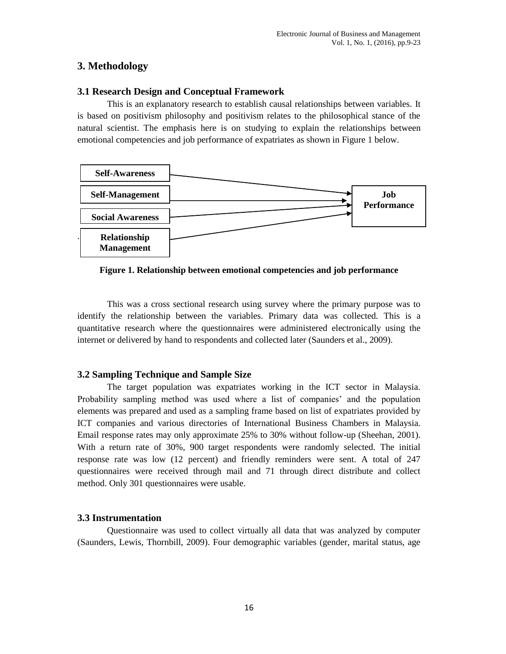## **3. Methodology**

## **3.1 Research Design and Conceptual Framework**

This is an explanatory research to establish causal relationships between variables. It is based on positivism philosophy and positivism relates to the philosophical stance of the natural scientist. The emphasis here is on studying to explain the relationships between emotional competencies and job performance of expatriates as shown in Figure 1 below.



**Figure 1. Relationship between emotional competencies and job performance**

This was a cross sectional research using survey where the primary purpose was to identify the relationship between the variables. Primary data was collected. This is a quantitative research where the questionnaires were administered electronically using the internet or delivered by hand to respondents and collected later (Saunders et al., 2009).

## **3.2 Sampling Technique and Sample Size**

The target population was expatriates working in the ICT sector in Malaysia. Probability sampling method was used where a list of companies" and the population elements was prepared and used as a sampling frame based on list of expatriates provided by ICT companies and various directories of International Business Chambers in Malaysia. Email response rates may only approximate 25% to 30% without follow-up (Sheehan, 2001). With a return rate of 30%, 900 target respondents were randomly selected. The initial response rate was low (12 percent) and friendly reminders were sent. A total of 247 questionnaires were received through mail and 71 through direct distribute and collect method. Only 301 questionnaires were usable.

## **3.3 Instrumentation**

Questionnaire was used to collect virtually all data that was analyzed by computer (Saunders, Lewis, Thornbill, 2009). Four demographic variables (gender, marital status, age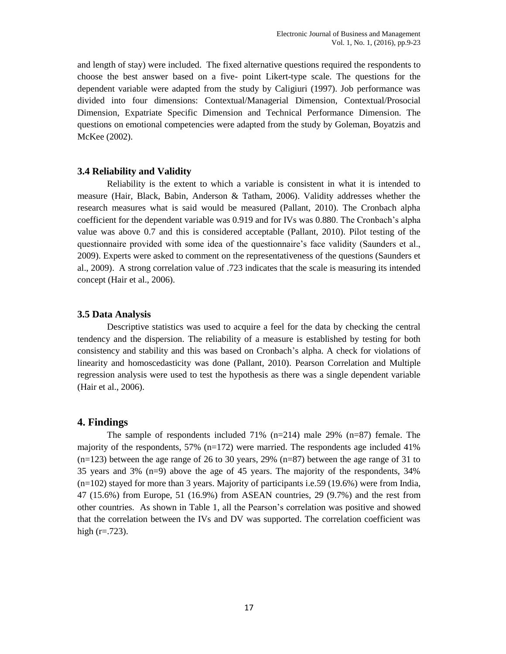and length of stay) were included. The fixed alternative questions required the respondents to choose the best answer based on a five- point Likert-type scale. The questions for the dependent variable were adapted from the study by Caligiuri (1997). Job performance was divided into four dimensions: Contextual/Managerial Dimension, Contextual/Prosocial Dimension, Expatriate Specific Dimension and Technical Performance Dimension. The questions on emotional competencies were adapted from the study by Goleman, Boyatzis and McKee (2002).

#### **3.4 Reliability and Validity**

Reliability is the extent to which a variable is consistent in what it is intended to measure (Hair, Black, Babin, Anderson & Tatham, 2006). Validity addresses whether the research measures what is said would be measured (Pallant, 2010). The Cronbach alpha coefficient for the dependent variable was 0.919 and for IVs was 0.880. The Cronbach"s alpha value was above 0.7 and this is considered acceptable (Pallant, 2010). Pilot testing of the questionnaire provided with some idea of the questionnaire"s face validity (Saunders et al., 2009). Experts were asked to comment on the representativeness of the questions (Saunders et al., 2009). A strong correlation value of .723 indicates that the scale is measuring its intended concept (Hair et al., 2006).

#### **3.5 Data Analysis**

Descriptive statistics was used to acquire a feel for the data by checking the central tendency and the dispersion. The reliability of a measure is established by testing for both consistency and stability and this was based on Cronbach"s alpha. A check for violations of linearity and homoscedasticity was done (Pallant, 2010). Pearson Correlation and Multiple regression analysis were used to test the hypothesis as there was a single dependent variable (Hair et al., 2006).

### **4. Findings**

The sample of respondents included  $71\%$  (n=214) male 29% (n=87) female. The majority of the respondents,  $57\%$  (n=172) were married. The respondents age included 41%  $(n=123)$  between the age range of 26 to 30 years, 29%  $(n=87)$  between the age range of 31 to 35 years and 3% (n=9) above the age of 45 years. The majority of the respondents, 34%  $(n=102)$  stayed for more than 3 years. Majority of participants i.e.59 (19.6%) were from India, 47 (15.6%) from Europe, 51 (16.9%) from ASEAN countries, 29 (9.7%) and the rest from other countries. As shown in Table 1, all the Pearson"s correlation was positive and showed that the correlation between the IVs and DV was supported. The correlation coefficient was high  $(r=.723)$ .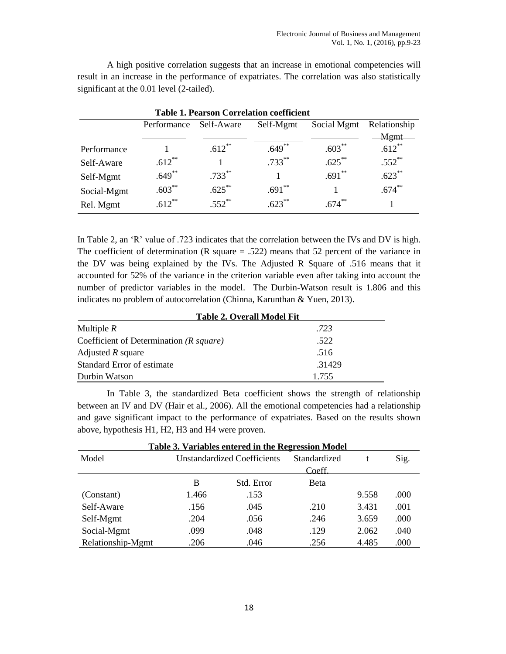A high positive correlation suggests that an increase in emotional competencies will result in an increase in the performance of expatriates. The correlation was also statistically significant at the 0.01 level (2-tailed).

| <b>Table 1. Pearson Correlation coefficient</b> |             |            |           |             |              |  |  |  |
|-------------------------------------------------|-------------|------------|-----------|-------------|--------------|--|--|--|
|                                                 | Performance | Self-Aware | Self-Mgmt | Social Mgmt | Relationship |  |  |  |
|                                                 |             |            |           |             | Mgmt         |  |  |  |
| Performance                                     |             | $.612**$   | $.649**$  | $.603***$   | $.612**$     |  |  |  |
| Self-Aware                                      | $.612**$    |            | $.733***$ | $.625***$   | $.552$ **    |  |  |  |
| Self-Mgmt                                       | $.649**$    | $.733***$  |           | $.691**$    | $.623***$    |  |  |  |
| Social-Mgmt                                     | $.603**$    | $.625***$  | $.691**$  |             | $.674**$     |  |  |  |
| Rel. Mgmt                                       | $612^{**}$  | $.552$ **  | $.623***$ | $.674***$   |              |  |  |  |

In Table 2, an 'R' value of .723 indicates that the correlation between the IVs and DV is high. The coefficient of determination (R square  $= .522$ ) means that 52 percent of the variance in the DV was being explained by the IVs. The Adjusted R Square of .516 means that it accounted for 52% of the variance in the criterion variable even after taking into account the number of predictor variables in the model. The Durbin-Watson result is 1.806 and this indicates no problem of autocorrelation (Chinna, Karunthan & Yuen, 2013).

| <b>Table 2. Overall Model Fit</b>            |        |  |  |  |  |  |
|----------------------------------------------|--------|--|--|--|--|--|
| Multiple $R$                                 | .723   |  |  |  |  |  |
| Coefficient of Determination $(R \, square)$ | .522   |  |  |  |  |  |
| Adjusted $R$ square                          | .516   |  |  |  |  |  |
| Standard Error of estimate                   | .31429 |  |  |  |  |  |
| Durbin Watson                                | 1.755  |  |  |  |  |  |

In Table 3, the standardized Beta coefficient shows the strength of relationship between an IV and DV (Hair et al., 2006). All the emotional competencies had a relationship and gave significant impact to the performance of expatriates. Based on the results shown above, hypothesis H1, H2, H3 and H4 were proven.

| <b>Table 3. Variables entered in the Regression Model</b> |                                    |            |              |       |      |  |  |  |  |  |
|-----------------------------------------------------------|------------------------------------|------------|--------------|-------|------|--|--|--|--|--|
| Model                                                     | <b>Unstandardized Coefficients</b> |            | Standardized |       | Sig. |  |  |  |  |  |
|                                                           |                                    |            | Coeff.       |       |      |  |  |  |  |  |
|                                                           | B                                  | Std. Error | <b>B</b> eta |       |      |  |  |  |  |  |
| (Constant)                                                | 1.466                              | .153       |              | 9.558 | .000 |  |  |  |  |  |
| Self-Aware                                                | .156                               | .045       | .210         | 3.431 | .001 |  |  |  |  |  |
| Self-Mgmt                                                 | .204                               | .056       | .246         | 3.659 | .000 |  |  |  |  |  |
| Social-Mgmt                                               | .099                               | .048       | .129         | 2.062 | .040 |  |  |  |  |  |
| Relationship-Mgmt                                         | .206                               | .046       | .256         | 4.485 | .000 |  |  |  |  |  |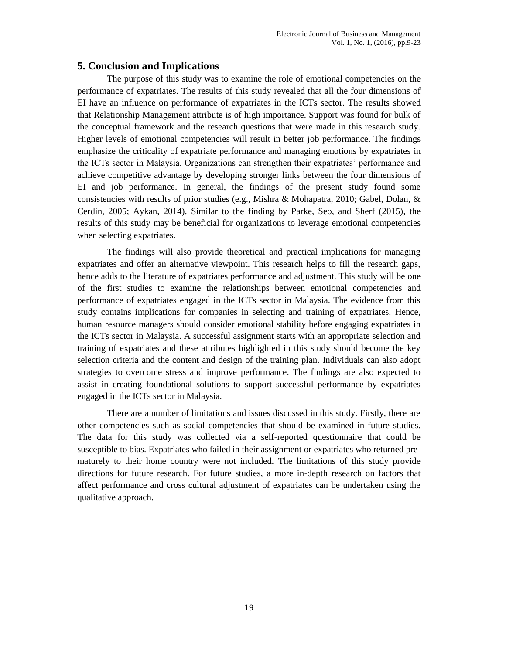## **5. Conclusion and Implications**

The purpose of this study was to examine the role of emotional competencies on the performance of expatriates. The results of this study revealed that all the four dimensions of EI have an influence on performance of expatriates in the ICTs sector. The results showed that Relationship Management attribute is of high importance. Support was found for bulk of the conceptual framework and the research questions that were made in this research study. Higher levels of emotional competencies will result in better job performance. The findings emphasize the criticality of expatriate performance and managing emotions by expatriates in the ICTs sector in Malaysia. Organizations can strengthen their expatriates" performance and achieve competitive advantage by developing stronger links between the four dimensions of EI and job performance. In general, the findings of the present study found some consistencies with results of prior studies (e.g., Mishra & Mohapatra, 2010; Gabel, Dolan, & Cerdin, 2005; Aykan, 2014). Similar to the finding by Parke, Seo, and Sherf (2015), the results of this study may be beneficial for organizations to leverage emotional competencies when selecting expatriates.

The findings will also provide theoretical and practical implications for managing expatriates and offer an alternative viewpoint. This research helps to fill the research gaps, hence adds to the literature of expatriates performance and adjustment. This study will be one of the first studies to examine the relationships between emotional competencies and performance of expatriates engaged in the ICTs sector in Malaysia. The evidence from this study contains implications for companies in selecting and training of expatriates. Hence, human resource managers should consider emotional stability before engaging expatriates in the ICTs sector in Malaysia. A successful assignment starts with an appropriate selection and training of expatriates and these attributes highlighted in this study should become the key selection criteria and the content and design of the training plan. Individuals can also adopt strategies to overcome stress and improve performance. The findings are also expected to assist in creating foundational solutions to support successful performance by expatriates engaged in the ICTs sector in Malaysia.

There are a number of limitations and issues discussed in this study. Firstly, there are other competencies such as social competencies that should be examined in future studies. The data for this study was collected via a self-reported questionnaire that could be susceptible to bias. Expatriates who failed in their assignment or expatriates who returned prematurely to their home country were not included. The limitations of this study provide directions for future research. For future studies, a more in-depth research on factors that affect performance and cross cultural adjustment of expatriates can be undertaken using the qualitative approach.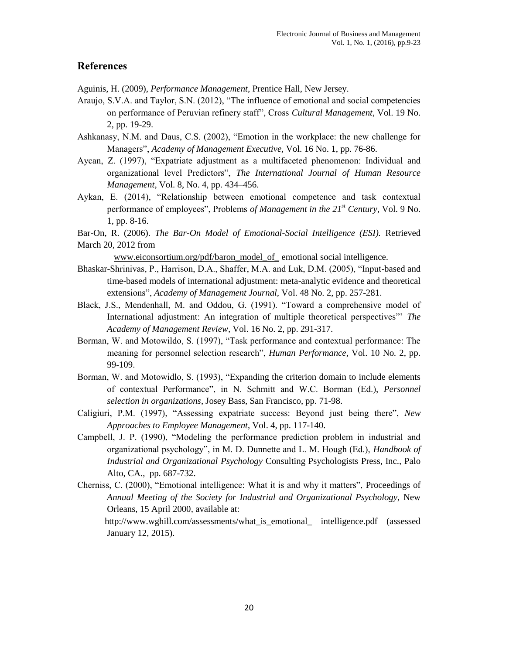## **References**

Aguinis, H. (2009), *Performance Management,* Prentice Hall, New Jersey.

- Araujo, S.V.A. and Taylor, S.N. (2012), "The influence of emotional and social competencies on performance of Peruvian refinery staff", Cross *Cultural Management*, Vol. 19 No. 2, pp. 19-29.
- Ashkanasy, N.M. and Daus, C.S. (2002), "Emotion in the workplace: the new challenge for Managers", *Academy of Management Executive,* Vol. 16 No. 1, pp. 76-86.
- Aycan, Z. (1997), "Expatriate adjustment as a multifaceted phenomenon: Individual and organizational level Predictors", *The International Journal of Human Resource Management,* Vol. 8, No. 4, pp. 434–456.
- Aykan, E. (2014), "Relationship between emotional competence and task contextual performance of employees", Problems *of Management in the 21st Century*, Vol. 9 No. 1, pp. 8-16.
- Bar-On, R. (2006). *The Bar-On Model of Emotional-Social Intelligence (ESI).* Retrieved March 20, 2012 from

[www.eiconsortium.org/pdf/baron\\_model\\_of\\_](http://www.eiconsortium.org/pdf/baron_model_of_) emotional social intelligence.

- Bhaskar-Shrinivas, P., Harrison, D.A., Shaffer, M.A. and Luk, D.M. (2005), "Input-based and time-based models of international adjustment: meta-analytic evidence and theoretical extensions", *Academy of Management Journal,* Vol. 48 No. 2, pp. 257-281.
- Black, J.S., Mendenhall, M. and Oddou, G. (1991). "Toward a comprehensive model of International adjustment: An integration of multiple theoretical perspectives"" *The Academy of Management Review,* Vol. 16 No. 2, pp. 291-317.
- Borman, W. and Motowildo, S. (1997), "Task performance and contextual performance: The meaning for personnel selection research", *Human Performance*, Vol. 10 No. 2, pp. 99-109.
- Borman, W. and Motowidlo, S. (1993), "Expanding the criterion domain to include elements of contextual Performance", in N. Schmitt and W.C. Borman (Ed.), *Personnel selection in organizations*, Josey Bass, San Francisco, pp. 71-98.
- Caligiuri, P.M. (1997), "Assessing expatriate success: Beyond just being there", *New Approaches to Employee Management*, Vol. 4, pp. 117-140.
- Campbell, J. P. (1990), "Modeling the performance prediction problem in industrial and organizational psychology", in M. D. Dunnette and L. M. Hough (Ed.), *Handbook of Industrial and Organizational Psychology* Consulting Psychologists Press, Inc., Palo Alto, CA., pp. 687-732.
- Cherniss, C. (2000), "Emotional intelligence: What it is and why it matters", Proceedings of *Annual Meeting of the Society for Industrial and Organizational Psychology,* New Orleans, 15 April 2000*,* available at:

 http://www.wghill.com/assessments/what\_is\_emotional\_ intelligence.pdf (assessed January 12, 2015).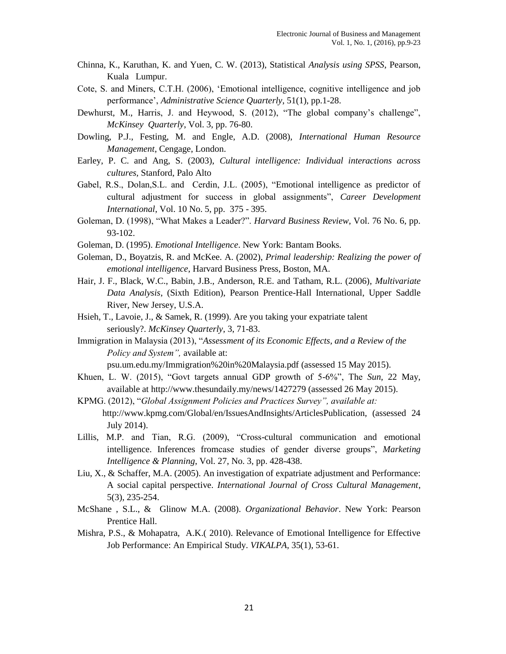- Chinna, K., Karuthan, K. and Yuen, C. W. (2013), Statistical *Analysis using SPSS*, Pearson, Kuala Lumpur.
- Cote, S. and Miners, C.T.H. (2006), "Emotional intelligence, cognitive intelligence and job performance", *Administrative Science Quarterly*, 51(1), pp.1-28.
- Dewhurst, M., Harris, J. and Heywood, S. (2012), "The global company"s challenge", *McKinsey Quarterly*, Vol. 3, pp. 76-80.
- Dowling, P.J., Festing, M. and Engle, A.D. (2008), *International Human Resource Management*, Cengage, London.
- Earley, P. C. and Ang, S. (2003), *Cultural intelligence: Individual interactions across cultures,* Stanford*,* Palo Alto
- Gabel, R.S., Dolan,S.L. and Cerdin, J.L. (2005), "Emotional intelligence as predictor of cultural adjustment for success in global assignments", *Career Development International*, Vol. 10 No. 5, pp. 375 - 395.
- Goleman, D. (1998), "What Makes a Leader?". *Harvard Business Review,* Vol. 76 No. 6, pp. 93-102.
- Goleman, D. (1995). *Emotional Intelligence*. New York: Bantam Books.
- Goleman, D., Boyatzis, R. and McKee. A. (2002), *Primal leadership: Realizing the power of emotional intelligence*, Harvard Business Press, Boston, MA.
- Hair, J. F., Black, W.C., Babin, J.B., Anderson, R.E. and Tatham, R.L. (2006), *Multivariate Data Analysis*, (Sixth Edition), Pearson Prentice-Hall International, Upper Saddle River, New Jersey, U.S.A.
- Hsieh, T., Lavoie, J., & Samek, R. (1999). Are you taking your expatriate talent seriously?. *McKinsey Quarterly*, 3, 71-83.
- Immigration in Malaysia (2013), "*Assessment of its Economic Effects, and a Review of the Policy and System",* available at:

psu.um.edu.my/Immigration%20in%20Malaysia.pdf (assessed 15 May 2015).

- Khuen, L. W. (2015), "Govt targets annual GDP growth of 5-6%", The *Sun*, 22 May, available at http://www.thesundaily.my/news/1427279 (assessed 26 May 2015).
- KPMG. (2012), "*Global Assignment Policies and Practices Survey", available at:*  http://www.kpmg.com/Global/en/IssuesAndInsights/ArticlesPublication, (assessed 24 July 2014).
- Lillis, M.P. and Tian, R.G. (2009), "Cross-cultural communication and emotional intelligence. Inferences fromcase studies of gender diverse groups", *Marketing Intelligence & Planning*, Vol. 27, No. 3, pp. 428-438.
- Liu, X., & Schaffer, M.A. (2005). An investigation of expatriate adjustment and Performance: A social capital perspective. *International Journal of Cross Cultural Management*, 5(3), 235-254.
- McShane , S.L., & Glinow M.A. (2008). *Organizational Behavior*. New York: Pearson Prentice Hall.
- Mishra, P.S., & Mohapatra, A.K.( 2010). Relevance of Emotional Intelligence for Effective Job Performance: An Empirical Study. *VIKALPA,* 35(1), 53-61.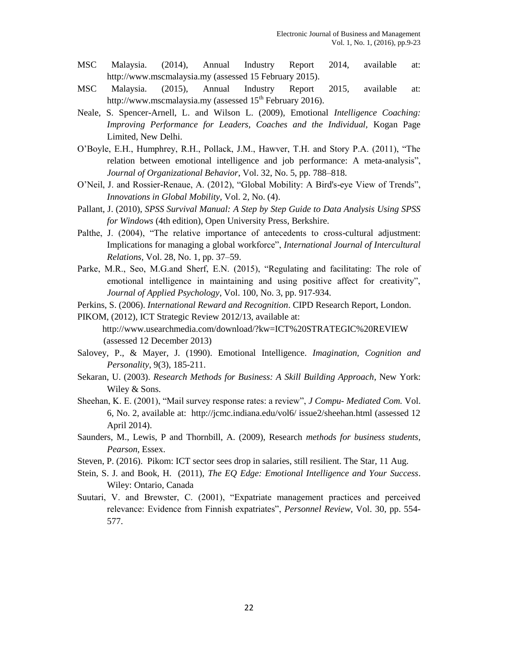- MSC Malaysia. (2014), Annual Industry Report 2014, available at: http://www.mscmalaysia.my (assessed 15 February 2015).
- MSC Malaysia. (2015), Annual Industry Report 2015, available at: http://www.mscmalaysia.my (assessed  $15<sup>th</sup>$  February 2016).
- Neale, S. Spencer-Arnell, L. and Wilson L. (2009), Emotional *Intelligence Coaching: Improving Performance for Leaders, Coaches and the Individual, Kogan Page* Limited, New Delhi.
- O"Boyle, E.H., Humphrey, R.H., Pollack, J.M., Hawver, T.H. and Story P.A. (2011), "The relation between emotional intelligence and job performance: A meta-analysis", *Journal of Organizational Behavior*, Vol. 32, No. 5, pp. 788–818.
- O"Neil, J. and Rossier-Renaue, A. (2012), "Global Mobility: A Bird's-eye View of Trends", *Innovations in Global Mobility,* Vol. 2, No. (4).
- Pallant, J. (2010), *SPSS Survival Manual: A Step by Step Guide to Data Analysis Using SPSS for Windows* (4th edition), Open University Press, Berkshire.
- Palthe, J. (2004), "The relative importance of antecedents to cross-cultural adjustment: Implications for managing a global workforce", *International Journal of Intercultural Relations,* Vol. 28, No. 1, pp. 37–59.
- Parke, M.R., Seo, M.G.and Sherf, E.N. (2015), "Regulating and facilitating: The role of emotional intelligence in maintaining and using positive affect for creativity", *Journal of Applied Psychology*, Vol. 100, No. 3, pp. 917-934.

Perkins, S. (2006). *International Reward and Recognition*. CIPD Research Report, London.

- PIKOM, (2012), ICT Strategic Review 2012/13, available at: http://www.usearchmedia.com/download/?kw=ICT%20STRATEGIC%20REVIEW (assessed 12 December 2013)
- Salovey, P., & Mayer, J. (1990). Emotional Intelligence. *Imagination, Cognition and Personality*, 9(3), 185-211.
- Sekaran, U. (2003). *Research Methods for Business: A Skill Building Approach*, New York: Wiley & Sons.
- Sheehan, K. E. (2001), "Mail survey response rates: a review", *J Compu- Mediated Com.* Vol. 6, No. 2, available at: http://jcmc.indiana.edu/vol6/ issue2/sheehan.html (assessed 12 April 2014).
- Saunders, M., Lewis, P and Thornbill, A. (2009), Research *methods for business students, Pearson,* Essex.
- Steven, P. (2016). Pikom: ICT sector sees drop in salaries, still resilient. The Star, 11 Aug.
- Stein, S. J. and Book, H. (2011), *The EQ Edge: Emotional Intelligence and Your Success*. Wiley: Ontario, Canada
- Suutari, V. and Brewster, C. (2001), "Expatriate management practices and perceived relevance: Evidence from Finnish expatriates", *Personnel Review,* Vol. 30, pp. 554- 577.